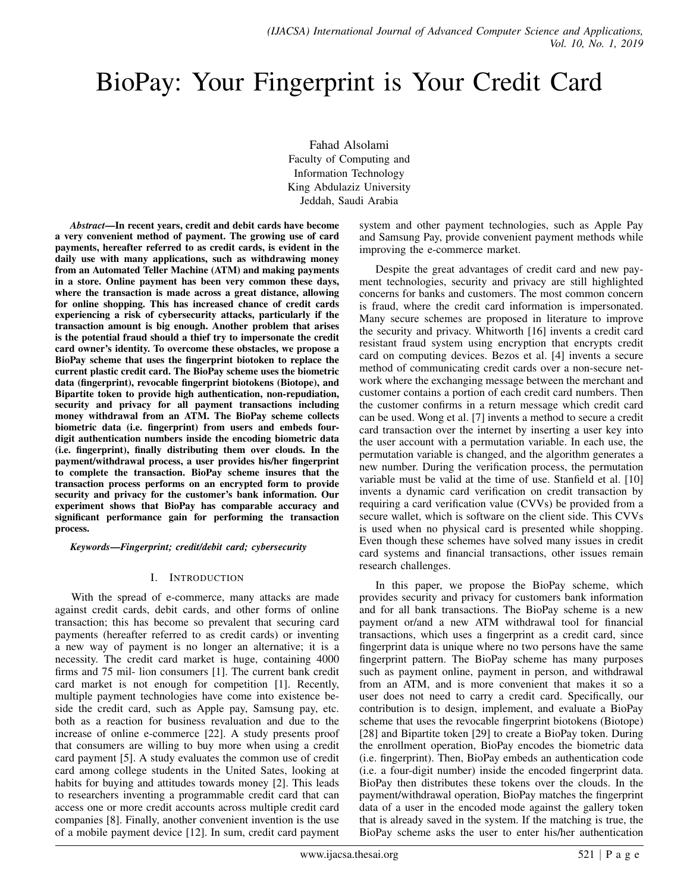# BioPay: Your Fingerprint is Your Credit Card

Fahad Alsolami Faculty of Computing and Information Technology King Abdulaziz University Jeddah, Saudi Arabia

*Abstract*—In recent years, credit and debit cards have become a very convenient method of payment. The growing use of card payments, hereafter referred to as credit cards, is evident in the daily use with many applications, such as withdrawing money from an Automated Teller Machine (ATM) and making payments in a store. Online payment has been very common these days, where the transaction is made across a great distance, allowing for online shopping. This has increased chance of credit cards experiencing a risk of cybersecurity attacks, particularly if the transaction amount is big enough. Another problem that arises is the potential fraud should a thief try to impersonate the credit card owner's identity. To overcome these obstacles, we propose a BioPay scheme that uses the fingerprint biotoken to replace the current plastic credit card. The BioPay scheme uses the biometric data (fingerprint), revocable fingerprint biotokens (Biotope), and Bipartite token to provide high authentication, non-repudiation, security and privacy for all payment transactions including money withdrawal from an ATM. The BioPay scheme collects biometric data (i.e. fingerprint) from users and embeds fourdigit authentication numbers inside the encoding biometric data (i.e. fingerprint), finally distributing them over clouds. In the payment/withdrawal process, a user provides his/her fingerprint to complete the transaction. BioPay scheme insures that the transaction process performs on an encrypted form to provide security and privacy for the customer's bank information. Our experiment shows that BioPay has comparable accuracy and significant performance gain for performing the transaction process.

*Keywords*—*Fingerprint; credit/debit card; cybersecurity*

# I. INTRODUCTION

With the spread of e-commerce, many attacks are made against credit cards, debit cards, and other forms of online transaction; this has become so prevalent that securing card payments (hereafter referred to as credit cards) or inventing a new way of payment is no longer an alternative; it is a necessity. The credit card market is huge, containing 4000 firms and 75 mil- lion consumers [1]. The current bank credit card market is not enough for competition [1]. Recently, multiple payment technologies have come into existence beside the credit card, such as Apple pay, Samsung pay, etc. both as a reaction for business revaluation and due to the increase of online e-commerce [22]. A study presents proof that consumers are willing to buy more when using a credit card payment [5]. A study evaluates the common use of credit card among college students in the United Sates, looking at habits for buying and attitudes towards money [2]. This leads to researchers inventing a programmable credit card that can access one or more credit accounts across multiple credit card companies [8]. Finally, another convenient invention is the use of a mobile payment device [12]. In sum, credit card payment system and other payment technologies, such as Apple Pay and Samsung Pay, provide convenient payment methods while improving the e-commerce market.

Despite the great advantages of credit card and new payment technologies, security and privacy are still highlighted concerns for banks and customers. The most common concern is fraud, where the credit card information is impersonated. Many secure schemes are proposed in literature to improve the security and privacy. Whitworth [16] invents a credit card resistant fraud system using encryption that encrypts credit card on computing devices. Bezos et al. [4] invents a secure method of communicating credit cards over a non-secure network where the exchanging message between the merchant and customer contains a portion of each credit card numbers. Then the customer confirms in a return message which credit card can be used. Wong et al. [7] invents a method to secure a credit card transaction over the internet by inserting a user key into the user account with a permutation variable. In each use, the permutation variable is changed, and the algorithm generates a new number. During the verification process, the permutation variable must be valid at the time of use. Stanfield et al. [10] invents a dynamic card verification on credit transaction by requiring a card verification value (CVVs) be provided from a secure wallet, which is software on the client side. This CVVs is used when no physical card is presented while shopping. Even though these schemes have solved many issues in credit card systems and financial transactions, other issues remain research challenges.

In this paper, we propose the BioPay scheme, which provides security and privacy for customers bank information and for all bank transactions. The BioPay scheme is a new payment or/and a new ATM withdrawal tool for financial transactions, which uses a fingerprint as a credit card, since fingerprint data is unique where no two persons have the same fingerprint pattern. The BioPay scheme has many purposes such as payment online, payment in person, and withdrawal from an ATM, and is more convenient that makes it so a user does not need to carry a credit card. Specifically, our contribution is to design, implement, and evaluate a BioPay scheme that uses the revocable fingerprint biotokens (Biotope) [28] and Bipartite token [29] to create a BioPay token. During the enrollment operation, BioPay encodes the biometric data (i.e. fingerprint). Then, BioPay embeds an authentication code (i.e. a four-digit number) inside the encoded fingerprint data. BioPay then distributes these tokens over the clouds. In the payment/withdrawal operation, BioPay matches the fingerprint data of a user in the encoded mode against the gallery token that is already saved in the system. If the matching is true, the BioPay scheme asks the user to enter his/her authentication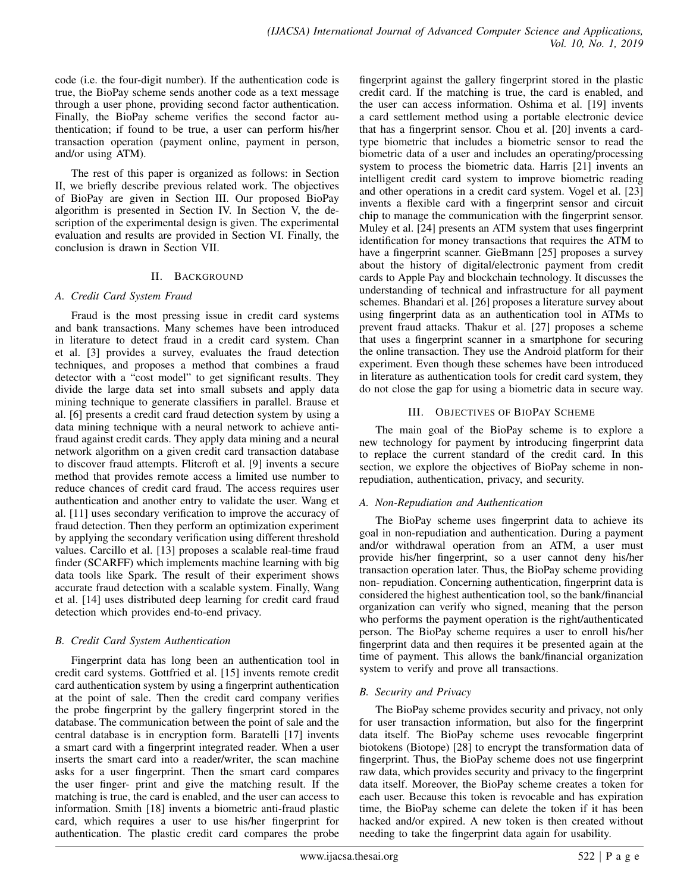code (i.e. the four-digit number). If the authentication code is true, the BioPay scheme sends another code as a text message through a user phone, providing second factor authentication. Finally, the BioPay scheme verifies the second factor authentication; if found to be true, a user can perform his/her transaction operation (payment online, payment in person, and/or using ATM).

The rest of this paper is organized as follows: in Section II, we briefly describe previous related work. The objectives of BioPay are given in Section III. Our proposed BioPay algorithm is presented in Section IV. In Section V, the description of the experimental design is given. The experimental evaluation and results are provided in Section VI. Finally, the conclusion is drawn in Section VII.

# II. BACKGROUND

# *A. Credit Card System Fraud*

Fraud is the most pressing issue in credit card systems and bank transactions. Many schemes have been introduced in literature to detect fraud in a credit card system. Chan et al. [3] provides a survey, evaluates the fraud detection techniques, and proposes a method that combines a fraud detector with a "cost model" to get significant results. They divide the large data set into small subsets and apply data mining technique to generate classifiers in parallel. Brause et al. [6] presents a credit card fraud detection system by using a data mining technique with a neural network to achieve antifraud against credit cards. They apply data mining and a neural network algorithm on a given credit card transaction database to discover fraud attempts. Flitcroft et al. [9] invents a secure method that provides remote access a limited use number to reduce chances of credit card fraud. The access requires user authentication and another entry to validate the user. Wang et al. [11] uses secondary verification to improve the accuracy of fraud detection. Then they perform an optimization experiment by applying the secondary verification using different threshold values. Carcillo et al. [13] proposes a scalable real-time fraud finder (SCARFF) which implements machine learning with big data tools like Spark. The result of their experiment shows accurate fraud detection with a scalable system. Finally, Wang et al. [14] uses distributed deep learning for credit card fraud detection which provides end-to-end privacy.

# *B. Credit Card System Authentication*

Fingerprint data has long been an authentication tool in credit card systems. Gottfried et al. [15] invents remote credit card authentication system by using a fingerprint authentication at the point of sale. Then the credit card company verifies the probe fingerprint by the gallery fingerprint stored in the database. The communication between the point of sale and the central database is in encryption form. Baratelli [17] invents a smart card with a fingerprint integrated reader. When a user inserts the smart card into a reader/writer, the scan machine asks for a user fingerprint. Then the smart card compares the user finger- print and give the matching result. If the matching is true, the card is enabled, and the user can access to information. Smith [18] invents a biometric anti-fraud plastic card, which requires a user to use his/her fingerprint for authentication. The plastic credit card compares the probe

fingerprint against the gallery fingerprint stored in the plastic credit card. If the matching is true, the card is enabled, and the user can access information. Oshima et al. [19] invents a card settlement method using a portable electronic device that has a fingerprint sensor. Chou et al. [20] invents a cardtype biometric that includes a biometric sensor to read the biometric data of a user and includes an operating/processing system to process the biometric data. Harris [21] invents an intelligent credit card system to improve biometric reading and other operations in a credit card system. Vogel et al. [23] invents a flexible card with a fingerprint sensor and circuit chip to manage the communication with the fingerprint sensor. Muley et al. [24] presents an ATM system that uses fingerprint identification for money transactions that requires the ATM to have a fingerprint scanner. GieBmann [25] proposes a survey about the history of digital/electronic payment from credit cards to Apple Pay and blockchain technology. It discusses the understanding of technical and infrastructure for all payment schemes. Bhandari et al. [26] proposes a literature survey about using fingerprint data as an authentication tool in ATMs to prevent fraud attacks. Thakur et al. [27] proposes a scheme that uses a fingerprint scanner in a smartphone for securing the online transaction. They use the Android platform for their experiment. Even though these schemes have been introduced in literature as authentication tools for credit card system, they do not close the gap for using a biometric data in secure way.

# III. OBJECTIVES OF BIOPAY SCHEME

The main goal of the BioPay scheme is to explore a new technology for payment by introducing fingerprint data to replace the current standard of the credit card. In this section, we explore the objectives of BioPay scheme in nonrepudiation, authentication, privacy, and security.

# *A. Non-Repudiation and Authentication*

The BioPay scheme uses fingerprint data to achieve its goal in non-repudiation and authentication. During a payment and/or withdrawal operation from an ATM, a user must provide his/her fingerprint, so a user cannot deny his/her transaction operation later. Thus, the BioPay scheme providing non- repudiation. Concerning authentication, fingerprint data is considered the highest authentication tool, so the bank/financial organization can verify who signed, meaning that the person who performs the payment operation is the right/authenticated person. The BioPay scheme requires a user to enroll his/her fingerprint data and then requires it be presented again at the time of payment. This allows the bank/financial organization system to verify and prove all transactions.

# *B. Security and Privacy*

The BioPay scheme provides security and privacy, not only for user transaction information, but also for the fingerprint data itself. The BioPay scheme uses revocable fingerprint biotokens (Biotope) [28] to encrypt the transformation data of fingerprint. Thus, the BioPay scheme does not use fingerprint raw data, which provides security and privacy to the fingerprint data itself. Moreover, the BioPay scheme creates a token for each user. Because this token is revocable and has expiration time, the BioPay scheme can delete the token if it has been hacked and/or expired. A new token is then created without needing to take the fingerprint data again for usability.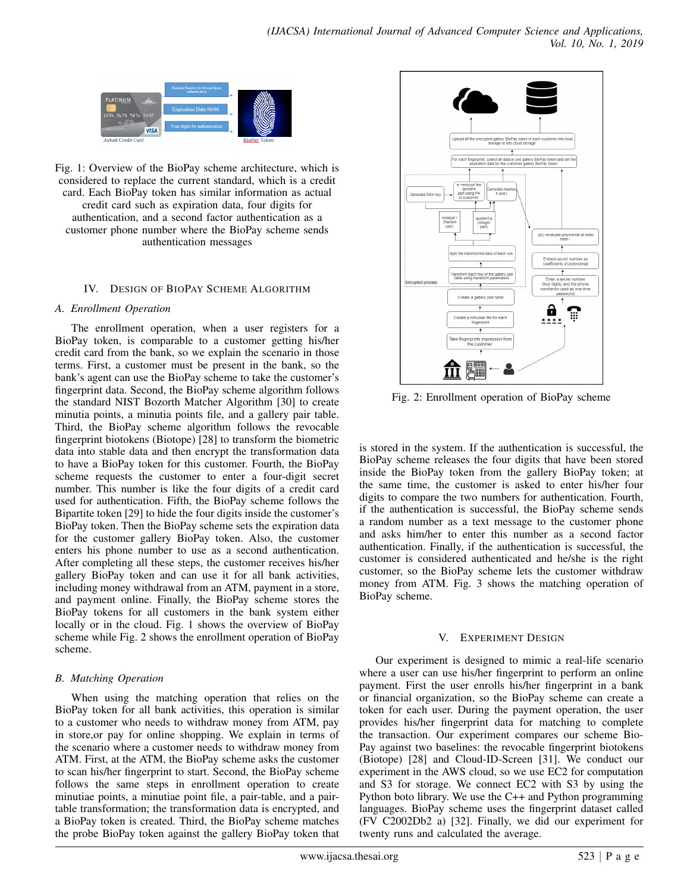

Fig. 1: Overview of the BioPay scheme architecture, which is considered to replace the current standard, which is a credit card. Each BioPay token has similar information as actual credit card such as expiration data, four digits for authentication, and a second factor authentication as a customer phone number where the BioPay scheme sends authentication messages

# IV. DESIGN OF BIOPAY SCHEME ALGORITHM

#### *A. Enrollment Operation*

The enrollment operation, when a user registers for a BioPay token, is comparable to a customer getting his/her credit card from the bank, so we explain the scenario in those terms. First, a customer must be present in the bank, so the bank's agent can use the BioPay scheme to take the customer's fingerprint data. Second, the BioPay scheme algorithm follows the standard NIST Bozorth Matcher Algorithm [30] to create minutia points, a minutia points file, and a gallery pair table. Third, the BioPay scheme algorithm follows the revocable fingerprint biotokens (Biotope) [28] to transform the biometric data into stable data and then encrypt the transformation data to have a BioPay token for this customer. Fourth, the BioPay scheme requests the customer to enter a four-digit secret number. This number is like the four digits of a credit card used for authentication. Fifth, the BioPay scheme follows the Bipartite token [29] to hide the four digits inside the customer's BioPay token. Then the BioPay scheme sets the expiration data for the customer gallery BioPay token. Also, the customer enters his phone number to use as a second authentication. After completing all these steps, the customer receives his/her gallery BioPay token and can use it for all bank activities, including money withdrawal from an ATM, payment in a store, and payment online. Finally, the BioPay scheme stores the BioPay tokens for all customers in the bank system either locally or in the cloud. Fig. 1 shows the overview of BioPay scheme while Fig. 2 shows the enrollment operation of BioPay scheme.

# *B. Matching Operation*

When using the matching operation that relies on the BioPay token for all bank activities, this operation is similar to a customer who needs to withdraw money from ATM, pay in store,or pay for online shopping. We explain in terms of the scenario where a customer needs to withdraw money from ATM. First, at the ATM, the BioPay scheme asks the customer to scan his/her fingerprint to start. Second, the BioPay scheme follows the same steps in enrollment operation to create minutiae points, a minutiae point file, a pair-table, and a pairtable transformation; the transformation data is encrypted, and a BioPay token is created. Third, the BioPay scheme matches the probe BioPay token against the gallery BioPay token that



Fig. 2: Enrollment operation of BioPay scheme

is stored in the system. If the authentication is successful, the BioPay scheme releases the four digits that have been stored inside the BioPay token from the gallery BioPay token; at the same time, the customer is asked to enter his/her four digits to compare the two numbers for authentication. Fourth, if the authentication is successful, the BioPay scheme sends a random number as a text message to the customer phone and asks him/her to enter this number as a second factor authentication. Finally, if the authentication is successful, the customer is considered authenticated and he/she is the right customer, so the BioPay scheme lets the customer withdraw money from ATM. Fig. 3 shows the matching operation of BioPay scheme.

# V. EXPERIMENT DESIGN

Our experiment is designed to mimic a real-life scenario where a user can use his/her fingerprint to perform an online payment. First the user enrolls his/her fingerprint in a bank or financial organization, so the BioPay scheme can create a token for each user. During the payment operation, the user provides his/her fingerprint data for matching to complete the transaction. Our experiment compares our scheme Bio-Pay against two baselines: the revocable fingerprint biotokens (Biotope) [28] and Cloud-ID-Screen [31]. We conduct our experiment in the AWS cloud, so we use EC2 for computation and S3 for storage. We connect EC2 with S3 by using the Python boto library. We use the C++ and Python programming languages. BioPay scheme uses the fingerprint dataset called (FV C2002Db2 a) [32]. Finally, we did our experiment for twenty runs and calculated the average.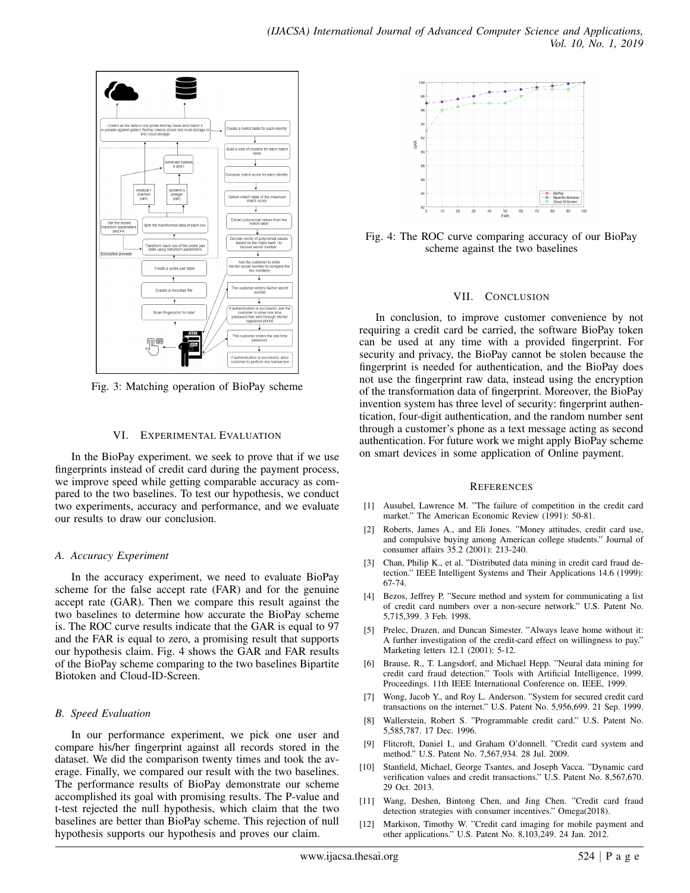

Fig. 3: Matching operation of BioPay scheme

# VI. EXPERIMENTAL EVALUATION

In the BioPay experiment. we seek to prove that if we use fingerprints instead of credit card during the payment process, we improve speed while getting comparable accuracy as compared to the two baselines. To test our hypothesis, we conduct two experiments, accuracy and performance, and we evaluate our results to draw our conclusion.

# *A. Accuracy Experiment*

In the accuracy experiment, we need to evaluate BioPay scheme for the false accept rate (FAR) and for the genuine accept rate (GAR). Then we compare this result against the two baselines to determine how accurate the BioPay scheme is. The ROC curve results indicate that the GAR is equal to 97 and the FAR is equal to zero, a promising result that supports our hypothesis claim. Fig. 4 shows the GAR and FAR results of the BioPay scheme comparing to the two baselines Bipartite Biotoken and Cloud-ID-Screen.

# *B. Speed Evaluation*

In our performance experiment, we pick one user and compare his/her fingerprint against all records stored in the dataset. We did the comparison twenty times and took the average. Finally, we compared our result with the two baselines. The performance results of BioPay demonstrate our scheme accomplished its goal with promising results. The P-value and t-test rejected the null hypothesis, which claim that the two baselines are better than BioPay scheme. This rejection of null hypothesis supports our hypothesis and proves our claim.



Fig. 4: The ROC curve comparing accuracy of our BioPay scheme against the two baselines

# VII. CONCLUSION

In conclusion, to improve customer convenience by not requiring a credit card be carried, the software BioPay token can be used at any time with a provided fingerprint. For security and privacy, the BioPay cannot be stolen because the fingerprint is needed for authentication, and the BioPay does not use the fingerprint raw data, instead using the encryption of the transformation data of fingerprint. Moreover, the BioPay invention system has three level of security: fingerprint authentication, four-digit authentication, and the random number sent through a customer's phone as a text message acting as second authentication. For future work we might apply BioPay scheme on smart devices in some application of Online payment.

#### **REFERENCES**

- [1] Ausubel, Lawrence M. "The failure of competition in the credit card market." The American Economic Review (1991): 50-81.
- Roberts, James A., and Eli Jones. "Money attitudes, credit card use, and compulsive buying among American college students." Journal of consumer affairs 35.2 (2001): 213-240.
- [3] Chan, Philip K., et al. "Distributed data mining in credit card fraud detection." IEEE Intelligent Systems and Their Applications 14.6 (1999): 67-74.
- [4] Bezos, Jeffrey P. "Secure method and system for communicating a list of credit card numbers over a non-secure network." U.S. Patent No. 5,715,399. 3 Feb. 1998.
- [5] Prelec, Drazen, and Duncan Simester. "Always leave home without it: A further investigation of the credit-card effect on willingness to pay." Marketing letters 12.1 (2001): 5-12.
- [6] Brause, R., T. Langsdorf, and Michael Hepp. "Neural data mining for credit card fraud detection." Tools with Artificial Intelligence, 1999. Proceedings. 11th IEEE International Conference on. IEEE, 1999.
- [7] Wong, Jacob Y., and Roy L. Anderson. "System for secured credit card transactions on the internet." U.S. Patent No. 5,956,699. 21 Sep. 1999.
- [8] Wallerstein, Robert S. "Programmable credit card." U.S. Patent No. 5,585,787. 17 Dec. 1996.
- [9] Flitcroft, Daniel I., and Graham O'donnell. "Credit card system and method." U.S. Patent No. 7,567,934. 28 Jul. 2009.
- [10] Stanfield, Michael, George Tsantes, and Joseph Vacca. "Dynamic card verification values and credit transactions." U.S. Patent No. 8,567,670. 29 Oct. 2013.
- [11] Wang, Deshen, Bintong Chen, and Jing Chen. "Credit card fraud detection strategies with consumer incentives." Omega(2018).
- [12] Markison, Timothy W. "Credit card imaging for mobile payment and other applications." U.S. Patent No. 8,103,249. 24 Jan. 2012.